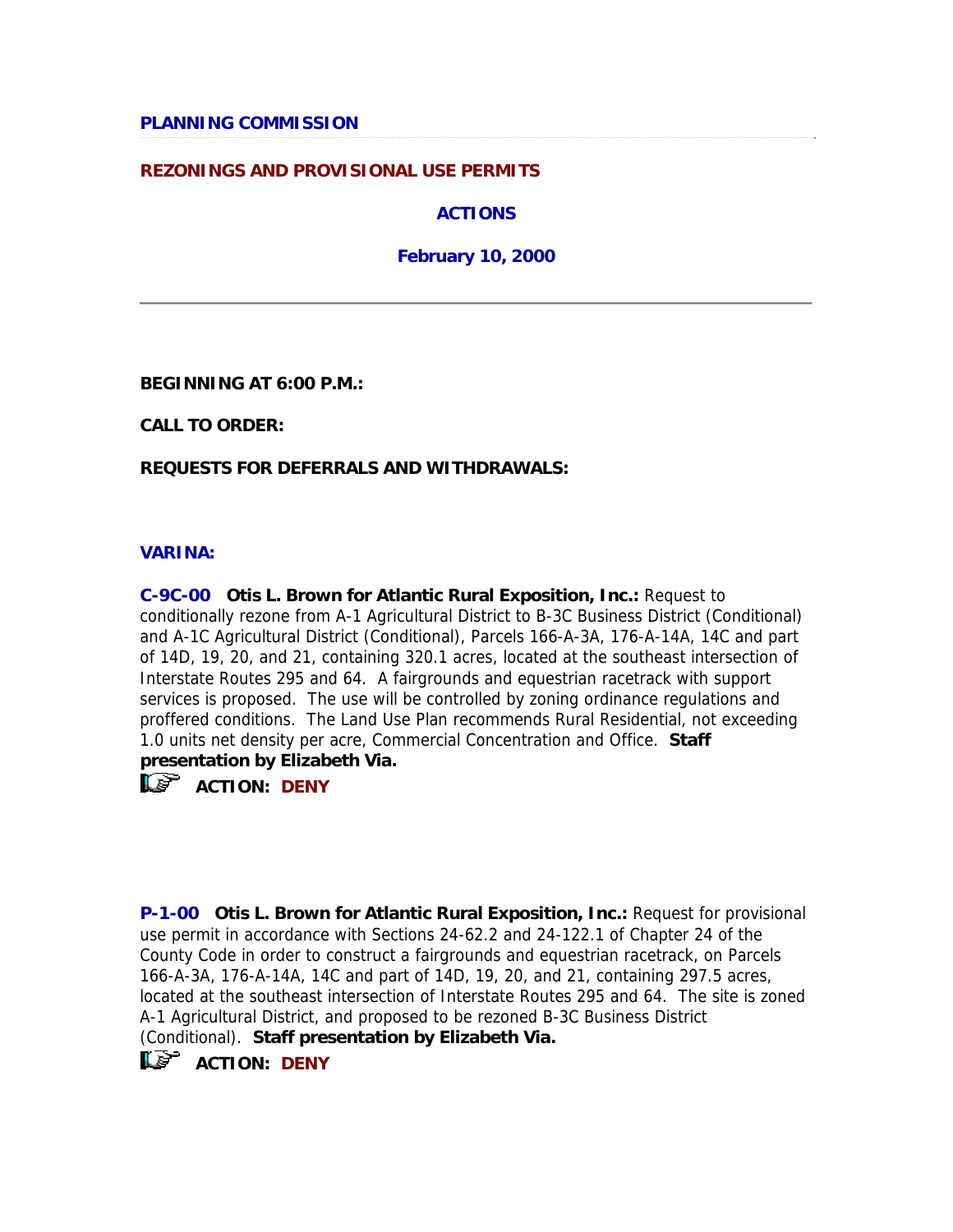### **PLANNING COMMISSION**

### **REZONINGS AND PROVISIONAL USE PERMITS**

**ACTIONS** 

**February 10, 2000** 

**BEGINNING AT 6:00 P.M.:**

**CALL TO ORDER:**

**REQUESTS FOR DEFERRALS AND WITHDRAWALS:**

#### **VARINA:**

**C-9C-00 Otis L. Brown for Atlantic Rural Exposition, Inc.:** Request to conditionally rezone from A-1 Agricultural District to B-3C Business District (Conditional) and A-1C Agricultural District (Conditional), Parcels 166-A-3A, 176-A-14A, 14C and part of 14D, 19, 20, and 21, containing 320.1 acres, located at the southeast intersection of Interstate Routes 295 and 64. A fairgrounds and equestrian racetrack with support services is proposed. The use will be controlled by zoning ordinance regulations and proffered conditions. The Land Use Plan recommends Rural Residential, not exceeding 1.0 units net density per acre, Commercial Concentration and Office. **Staff presentation by Elizabeth Via.**

 $\mathbb{R}$  **ACTION:** DENY

**P-1-00 Otis L. Brown for Atlantic Rural Exposition, Inc.:** Request for provisional use permit in accordance with Sections 24-62.2 and 24-122.1 of Chapter 24 of the County Code in order to construct a fairgrounds and equestrian racetrack, on Parcels 166-A-3A, 176-A-14A, 14C and part of 14D, 19, 20, and 21, containing 297.5 acres, located at the southeast intersection of Interstate Routes 295 and 64. The site is zoned A-1 Agricultural District, and proposed to be rezoned B-3C Business District (Conditional). **Staff presentation by Elizabeth Via.**

**ACTION: DENY**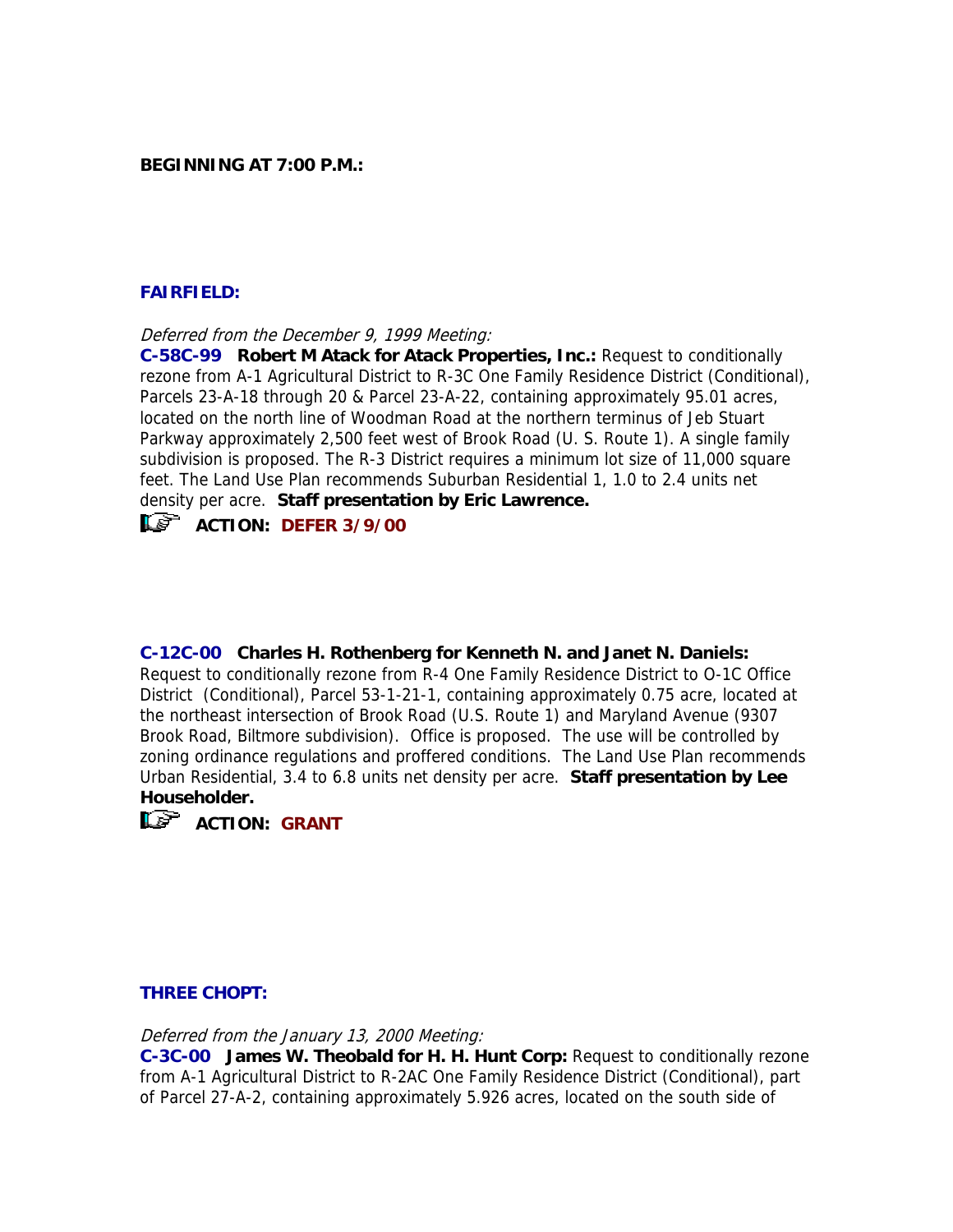### **BEGINNING AT 7:00 P.M.:**

## **FAIRFIELD:**

Deferred from the December 9, 1999 Meeting:

**C-58C-99 Robert M Atack for Atack Properties, Inc.:** Request to conditionally rezone from A-1 Agricultural District to R-3C One Family Residence District (Conditional), Parcels 23-A-18 through 20 & Parcel 23-A-22, containing approximately 95.01 acres, located on the north line of Woodman Road at the northern terminus of Jeb Stuart Parkway approximately 2,500 feet west of Brook Road (U. S. Route 1). A single family subdivision is proposed. The R-3 District requires a minimum lot size of 11,000 square feet. The Land Use Plan recommends Suburban Residential 1, 1.0 to 2.4 units net density per acre. **Staff presentation by Eric Lawrence.**

# **ACTION: DEFER 3/9/00**

**C-12C-00 Charles H. Rothenberg for Kenneth N. and Janet N. Daniels:**  Request to conditionally rezone from R-4 One Family Residence District to O-1C Office District (Conditional), Parcel 53-1-21-1, containing approximately 0.75 acre, located at the northeast intersection of Brook Road (U.S. Route 1) and Maryland Avenue (9307 Brook Road, Biltmore subdivision). Office is proposed. The use will be controlled by zoning ordinance regulations and proffered conditions. The Land Use Plan recommends Urban Residential, 3.4 to 6.8 units net density per acre. **Staff presentation by Lee Householder.**



**LE<sup>P</sup>** ACTION: GRANT

### **THREE CHOPT:**

Deferred from the January 13, 2000 Meeting:

**C-3C-00 James W. Theobald for H. H. Hunt Corp:** Request to conditionally rezone from A-1 Agricultural District to R-2AC One Family Residence District (Conditional), part of Parcel 27-A-2, containing approximately 5.926 acres, located on the south side of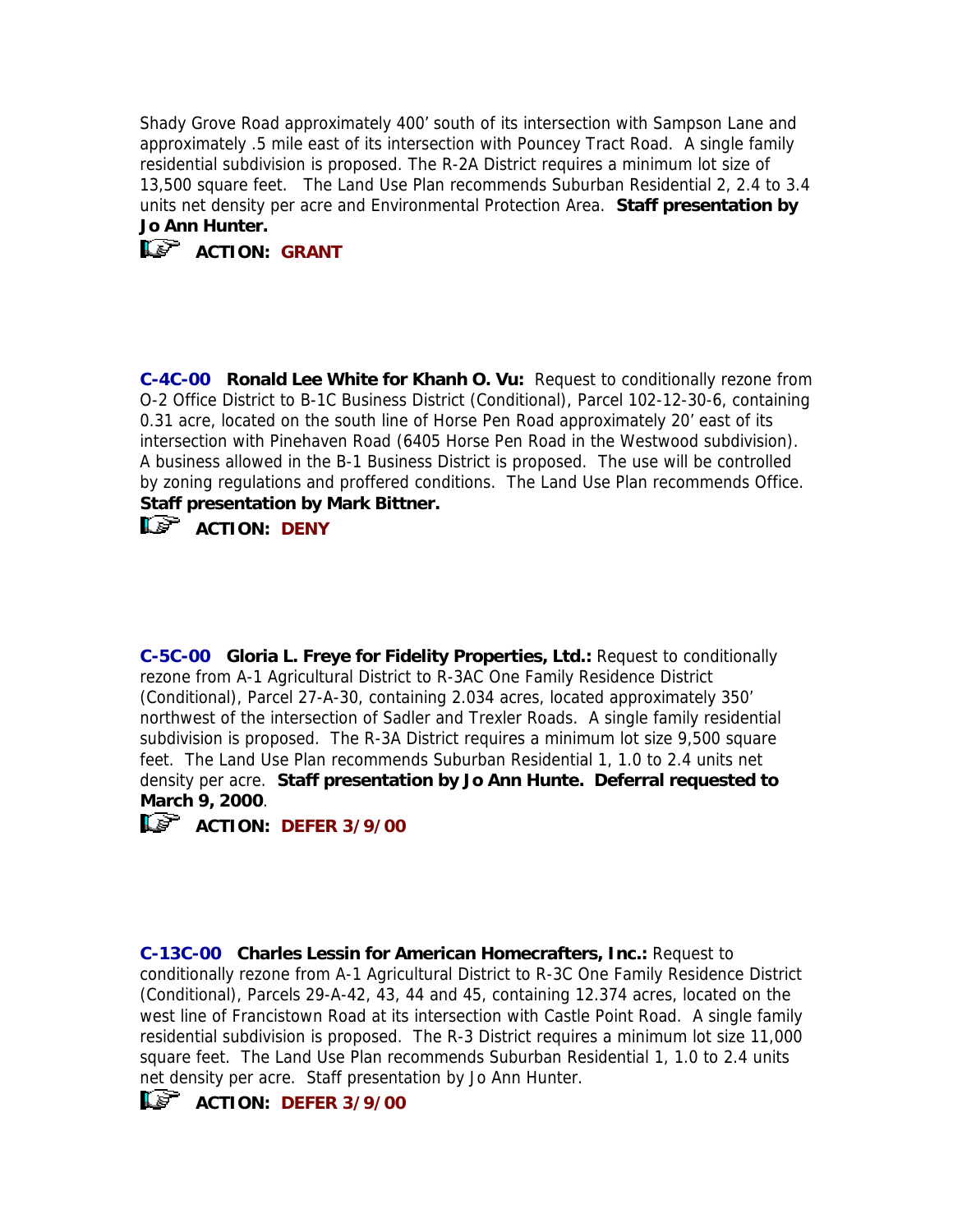Shady Grove Road approximately 400' south of its intersection with Sampson Lane and approximately .5 mile east of its intersection with Pouncey Tract Road. A single family residential subdivision is proposed. The R-2A District requires a minimum lot size of 13,500 square feet. The Land Use Plan recommends Suburban Residential 2, 2.4 to 3.4 units net density per acre and Environmental Protection Area. **Staff presentation by Jo Ann Hunter.**



**C-4C-00 Ronald Lee White for Khanh O. Vu:** Request to conditionally rezone from O-2 Office District to B-1C Business District (Conditional), Parcel 102-12-30-6, containing 0.31 acre, located on the south line of Horse Pen Road approximately 20' east of its intersection with Pinehaven Road (6405 Horse Pen Road in the Westwood subdivision). A business allowed in the B-1 Business District is proposed. The use will be controlled by zoning regulations and proffered conditions. The Land Use Plan recommends Office. **Staff presentation by Mark Bittner.**



**ACTION: DENY**

**C-5C-00 Gloria L. Freye for Fidelity Properties, Ltd.:** Request to conditionally rezone from A-1 Agricultural District to R-3AC One Family Residence District (Conditional), Parcel 27-A-30, containing 2.034 acres, located approximately 350' northwest of the intersection of Sadler and Trexler Roads. A single family residential subdivision is proposed. The R-3A District requires a minimum lot size 9,500 square feet. The Land Use Plan recommends Suburban Residential 1, 1.0 to 2.4 units net density per acre. **Staff presentation by Jo Ann Hunte. Deferral requested to March 9, 2000**.



**ACTION: DEFER 3/9/00** 

**C-13C-00 Charles Lessin for American Homecrafters, Inc.:** Request to conditionally rezone from A-1 Agricultural District to R-3C One Family Residence District (Conditional), Parcels 29-A-42, 43, 44 and 45, containing 12.374 acres, located on the west line of Francistown Road at its intersection with Castle Point Road. A single family residential subdivision is proposed. The R-3 District requires a minimum lot size 11,000 square feet. The Land Use Plan recommends Suburban Residential 1, 1.0 to 2.4 units net density per acre. Staff presentation by Jo Ann Hunter.



**ACTION: DEFER 3/9/00**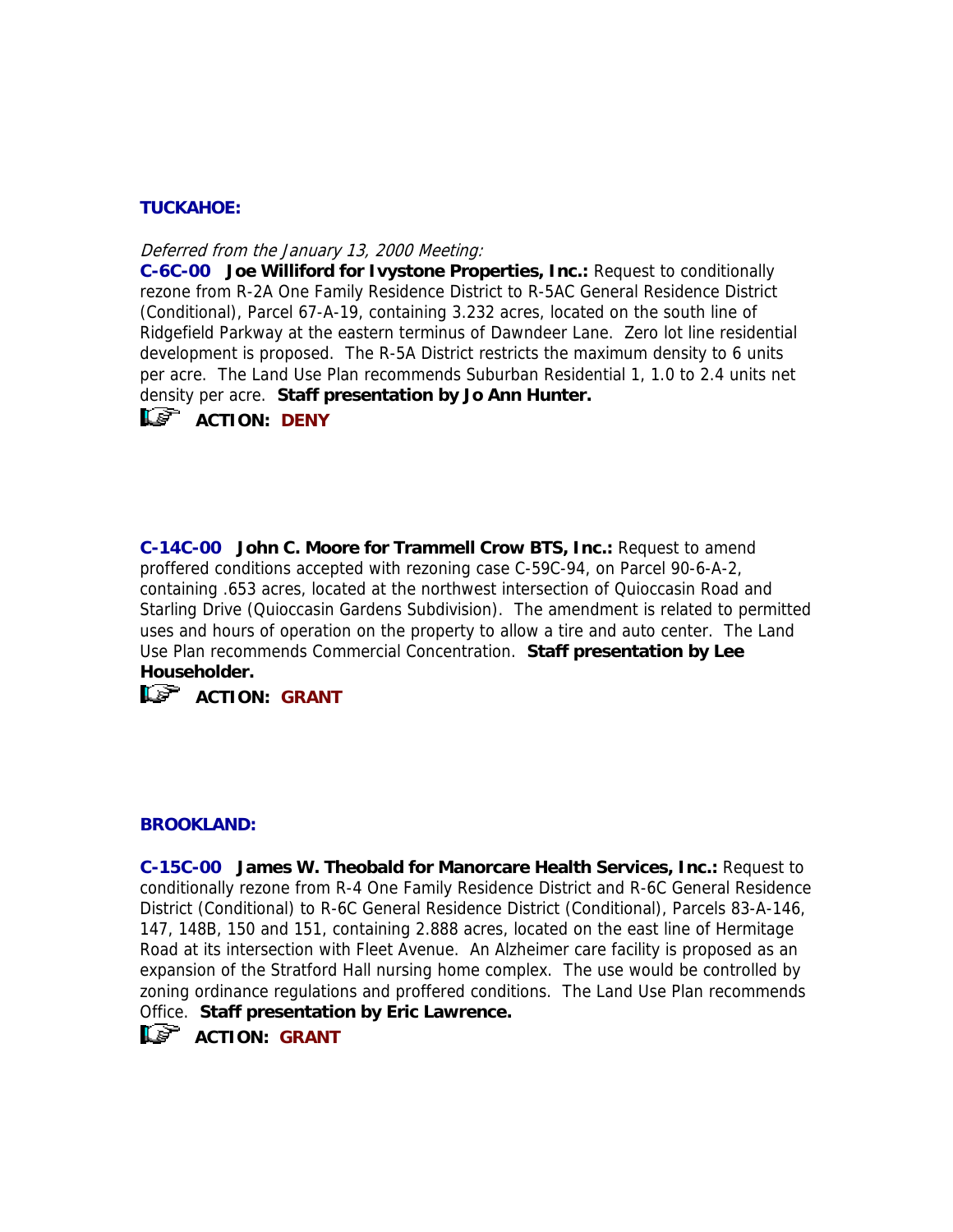# **TUCKAHOE:**

Deferred from the January 13, 2000 Meeting:

**C-6C-00 Joe Williford for Ivystone Properties, Inc.:** Request to conditionally rezone from R-2A One Family Residence District to R-5AC General Residence District (Conditional), Parcel 67-A-19, containing 3.232 acres, located on the south line of Ridgefield Parkway at the eastern terminus of Dawndeer Lane. Zero lot line residential development is proposed. The R-5A District restricts the maximum density to 6 units per acre. The Land Use Plan recommends Suburban Residential 1, 1.0 to 2.4 units net density per acre. **Staff presentation by Jo Ann Hunter.**

**ACTION: DENY** 

**C-14C-00 John C. Moore for Trammell Crow BTS, Inc.:** Request to amend proffered conditions accepted with rezoning case C-59C-94, on Parcel 90-6-A-2, containing .653 acres, located at the northwest intersection of Quioccasin Road and Starling Drive (Quioccasin Gardens Subdivision). The amendment is related to permitted uses and hours of operation on the property to allow a tire and auto center. The Land Use Plan recommends Commercial Concentration. **Staff presentation by Lee Householder.**

# **ACTION: GRANT**

#### **BROOKLAND:**

**C-15C-00 James W. Theobald for Manorcare Health Services, Inc.:** Request to conditionally rezone from R-4 One Family Residence District and R-6C General Residence District (Conditional) to R-6C General Residence District (Conditional), Parcels 83-A-146, 147, 148B, 150 and 151, containing 2.888 acres, located on the east line of Hermitage Road at its intersection with Fleet Avenue. An Alzheimer care facility is proposed as an expansion of the Stratford Hall nursing home complex. The use would be controlled by zoning ordinance regulations and proffered conditions. The Land Use Plan recommends Office. **Staff presentation by Eric Lawrence.** 

 $\mathbb{R}$  ACTION: GRANT